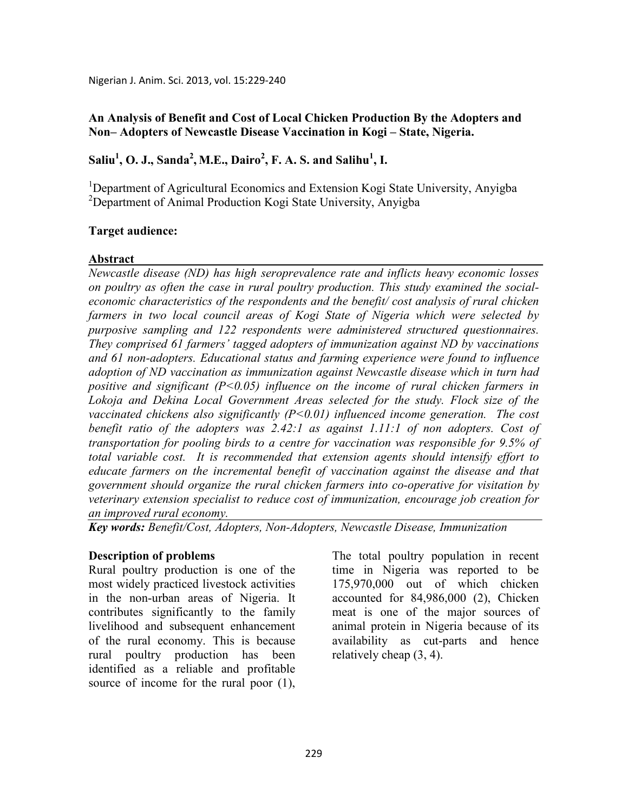#### **An Analysis of Benefit and Cost of Local Chicken Production By the Adopters and Non– Adopters of Newcastle Disease Vaccination in Kogi – State, Nigeria.**

## **Saliu<sup>1</sup> , O. J., Sanda<sup>2</sup> , M.E., Dairo<sup>2</sup> , F. A. S. and Salihu<sup>1</sup> , I.**

<sup>1</sup>Department of Agricultural Economics and Extension Kogi State University, Anyigba <sup>2</sup>Department of Animal Production Kogi State University, Anyigba

#### **Target audience:**

#### **Abstract**

*ewcastle disease (D) has high seroprevalence rate and inflicts heavy economic losses on poultry as often the case in rural poultry production. This study examined the socialeconomic characteristics of the respondents and the benefit/ cost analysis of rural chicken*  farmers in two local council areas of Kogi State of Nigeria which were selected by *purposive sampling and 122 respondents were administered structured questionnaires. They comprised 61 farmers' tagged adopters of immunization against D by vaccinations and 61 non-adopters. Educational status and farming experience were found to influence adoption of ND vaccination as immunization against Newcastle disease which in turn had positive and significant (P<0.05) influence on the income of rural chicken farmers in Lokoja and Dekina Local Government Areas selected for the study. Flock size of the vaccinated chickens also significantly (P<0.01) influenced income generation. The cost benefit ratio of the adopters was 2.42:1 as against 1.11:1 of non adopters. Cost of transportation for pooling birds to a centre for vaccination was responsible for 9.5% of total variable cost. It is recommended that extension agents should intensify effort to educate farmers on the incremental benefit of vaccination against the disease and that government should organize the rural chicken farmers into co-operative for visitation by veterinary extension specialist to reduce cost of immunization, encourage job creation for an improved rural economy.* 

Key words: Benefit/Cost, Adopters, Non-Adopters, Newcastle Disease, Immunization

#### **Description of problems**

Rural poultry production is one of the most widely practiced livestock activities in the non-urban areas of Nigeria. It contributes significantly to the family livelihood and subsequent enhancement of the rural economy. This is because rural poultry production has been identified as a reliable and profitable source of income for the rural poor (1),

The total poultry population in recent time in Nigeria was reported to be 175,970,000 out of which chicken accounted for 84,986,000 (2), Chicken meat is one of the major sources of animal protein in Nigeria because of its availability as cut-parts and hence relatively cheap (3, 4).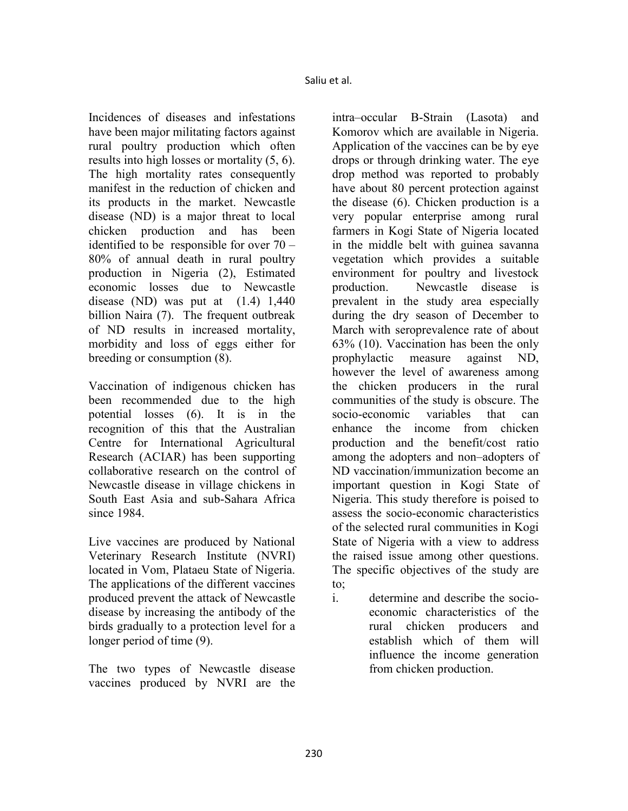Incidences of diseases and infestations have been major militating factors against rural poultry production which often results into high losses or mortality (5, 6). The high mortality rates consequently manifest in the reduction of chicken and its products in the market. Newcastle disease (ND) is a major threat to local chicken production and has been identified to be responsible for over 70 – 80% of annual death in rural poultry production in Nigeria (2), Estimated economic losses due to Newcastle disease (ND) was put at  $(1.4)$  1,440 billion Naira (7). The frequent outbreak of ND results in increased mortality, morbidity and loss of eggs either for breeding or consumption (8).

Vaccination of indigenous chicken has been recommended due to the high potential losses (6). It is in the recognition of this that the Australian Centre for International Agricultural Research (ACIAR) has been supporting collaborative research on the control of Newcastle disease in village chickens in South East Asia and sub-Sahara Africa since 1984.

Live vaccines are produced by National Veterinary Research Institute (NVRI) located in Vom, Plataeu State of Nigeria. The applications of the different vaccines produced prevent the attack of Newcastle disease by increasing the antibody of the birds gradually to a protection level for a longer period of time (9).

The two types of Newcastle disease vaccines produced by NVRI are the

intra–occular B-Strain (Lasota) and Komorov which are available in Nigeria. Application of the vaccines can be by eye drops or through drinking water. The eye drop method was reported to probably have about 80 percent protection against the disease (6). Chicken production is a very popular enterprise among rural farmers in Kogi State of Nigeria located in the middle belt with guinea savanna vegetation which provides a suitable environment for poultry and livestock production. Newcastle disease is prevalent in the study area especially during the dry season of December to March with seroprevalence rate of about 63% (10). Vaccination has been the only prophylactic measure against ND, however the level of awareness among the chicken producers in the rural communities of the study is obscure. The socio-economic variables that can enhance the income from chicken production and the benefit/cost ratio among the adopters and non–adopters of ND vaccination/immunization become an important question in Kogi State of Nigeria. This study therefore is poised to assess the socio-economic characteristics of the selected rural communities in Kogi State of Nigeria with a view to address the raised issue among other questions. The specific objectives of the study are to;

i. determine and describe the socioeconomic characteristics of the rural chicken producers and establish which of them will influence the income generation from chicken production.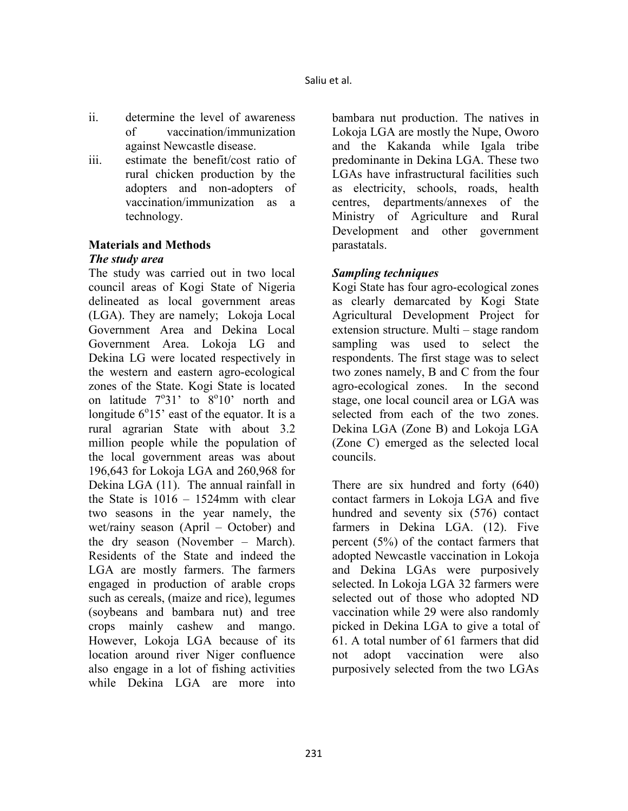- ii. determine the level of awareness of vaccination/immunization against Newcastle disease.
- iii. estimate the benefit/cost ratio of rural chicken production by the adopters and non-adopters of vaccination/immunization as a technology.

## **Materials and Methods**

#### *The study area*

The study was carried out in two local council areas of Kogi State of Nigeria delineated as local government areas (LGA). They are namely; Lokoja Local Government Area and Dekina Local Government Area. Lokoja LG and Dekina LG were located respectively in the western and eastern agro-ecological zones of the State. Kogi State is located on latitude  $7^{\circ}31'$  to  $8^{\circ}10'$  north and longitude  $6^{\circ}15'$  east of the equator. It is a rural agrarian State with about 3.2 million people while the population of the local government areas was about 196,643 for Lokoja LGA and 260,968 for Dekina LGA (11). The annual rainfall in the State is 1016 – 1524mm with clear two seasons in the year namely, the wet/rainy season (April – October) and the dry season (November – March). Residents of the State and indeed the LGA are mostly farmers. The farmers engaged in production of arable crops such as cereals, (maize and rice), legumes (soybeans and bambara nut) and tree crops mainly cashew and mango. However, Lokoja LGA because of its location around river Niger confluence also engage in a lot of fishing activities while Dekina LGA are more into

bambara nut production. The natives in Lokoja LGA are mostly the Nupe, Oworo and the Kakanda while Igala tribe predominante in Dekina LGA. These two LGAs have infrastructural facilities such as electricity, schools, roads, health centres, departments/annexes of the Ministry of Agriculture and Rural Development and other government parastatals.

#### *Sampling techniques*

Kogi State has four agro-ecological zones as clearly demarcated by Kogi State Agricultural Development Project for extension structure. Multi – stage random sampling was used to select the respondents. The first stage was to select two zones namely, B and C from the four agro-ecological zones. In the second stage, one local council area or LGA was selected from each of the two zones. Dekina LGA (Zone B) and Lokoja LGA (Zone C) emerged as the selected local councils.

There are six hundred and forty (640) contact farmers in Lokoja LGA and five hundred and seventy six (576) contact farmers in Dekina LGA. (12). Five percent (5%) of the contact farmers that adopted Newcastle vaccination in Lokoja and Dekina LGAs were purposively selected. In Lokoja LGA 32 farmers were selected out of those who adopted ND vaccination while 29 were also randomly picked in Dekina LGA to give a total of 61. A total number of 61 farmers that did not adopt vaccination were also purposively selected from the two LGAs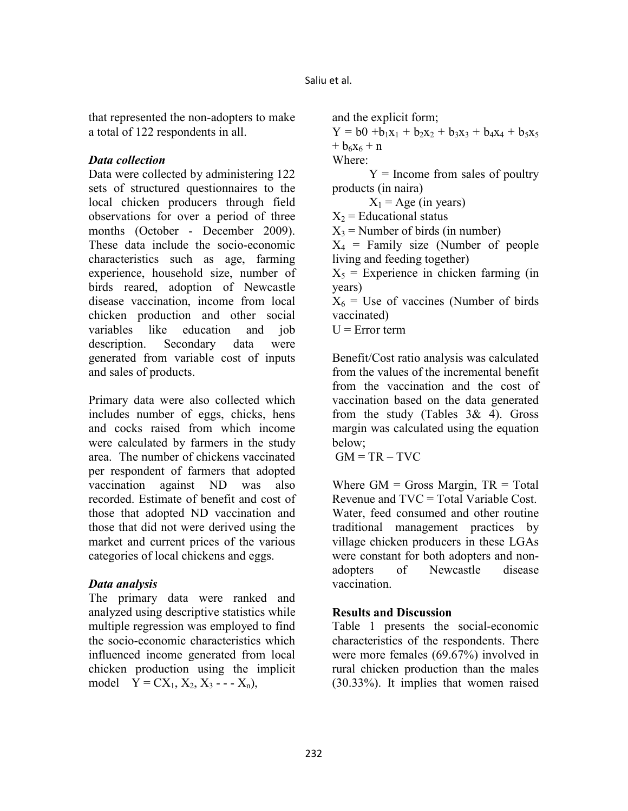that represented the non-adopters to make a total of 122 respondents in all.

#### *Data collection*

Data were collected by administering 122 sets of structured questionnaires to the local chicken producers through field observations for over a period of three months (October - December 2009). These data include the socio-economic characteristics such as age, farming experience, household size, number of birds reared, adoption of Newcastle disease vaccination, income from local chicken production and other social variables like education and job description. Secondary data were generated from variable cost of inputs and sales of products.

Primary data were also collected which includes number of eggs, chicks, hens and cocks raised from which income were calculated by farmers in the study area. The number of chickens vaccinated per respondent of farmers that adopted vaccination against ND was also recorded. Estimate of benefit and cost of those that adopted ND vaccination and those that did not were derived using the market and current prices of the various categories of local chickens and eggs.

## *Data analysis*

The primary data were ranked and analyzed using descriptive statistics while multiple regression was employed to find the socio-economic characteristics which influenced income generated from local chicken production using the implicit model  $Y = CX_1, X_2, X_3 - -X_n$ ,

and the explicit form;  $Y = b0 + b_1x_1 + b_2x_2 + b_3x_3 + b_4x_4 + b_5x_5$  $+ b_6x_6 + n$ Where:  $Y =$  Income from sales of poultry products (in naira)  $X_1$  = Age (in years)  $X_2$  = Educational status  $X_3$  = Number of birds (in number)  $X_4$  = Family size (Number of people living and feeding together)  $X_5$  = Experience in chicken farming (in years)  $X_6$  = Use of vaccines (Number of birds vaccinated)  $U = Error term$ 

Benefit/Cost ratio analysis was calculated from the values of the incremental benefit from the vaccination and the cost of vaccination based on the data generated from the study (Tables 3& 4). Gross margin was calculated using the equation below;

 $GM = TR - TVC$ 

Where  $GM =$  Gross Margin,  $TR = Total$ Revenue and TVC = Total Variable Cost. Water, feed consumed and other routine traditional management practices by village chicken producers in these LGAs were constant for both adopters and nonadopters of Newcastle disease vaccination.

## **Results and Discussion**

Table 1 presents the social-economic characteristics of the respondents. There were more females (69.67%) involved in rural chicken production than the males (30.33%). It implies that women raised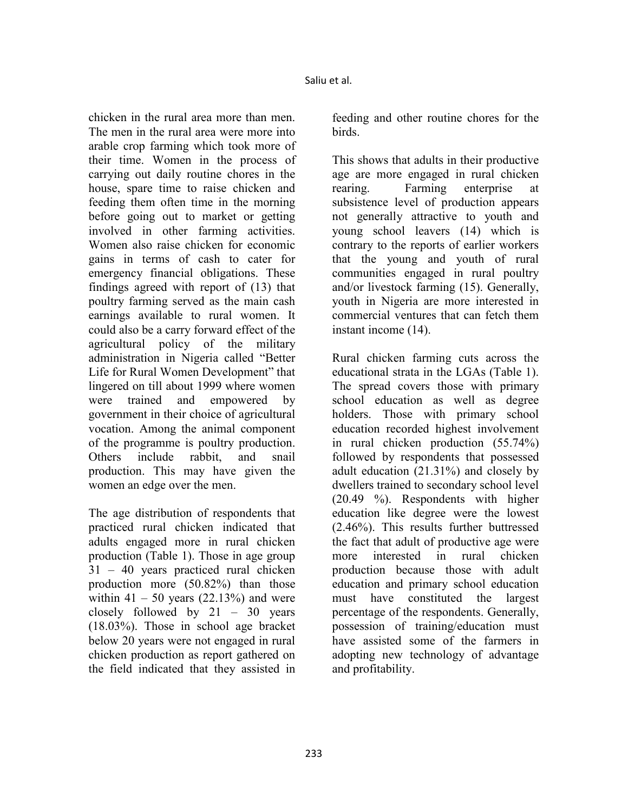chicken in the rural area more than men. The men in the rural area were more into arable crop farming which took more of their time. Women in the process of carrying out daily routine chores in the house, spare time to raise chicken and feeding them often time in the morning before going out to market or getting involved in other farming activities. Women also raise chicken for economic gains in terms of cash to cater for emergency financial obligations. These findings agreed with report of (13) that poultry farming served as the main cash earnings available to rural women. It could also be a carry forward effect of the agricultural policy of the military administration in Nigeria called "Better Life for Rural Women Development" that lingered on till about 1999 where women were trained and empowered by government in their choice of agricultural vocation. Among the animal component of the programme is poultry production. Others include rabbit, and snail production. This may have given the women an edge over the men.

The age distribution of respondents that practiced rural chicken indicated that adults engaged more in rural chicken production (Table 1). Those in age group 31 – 40 years practiced rural chicken production more (50.82%) than those within  $41 - 50$  years  $(22.13%)$  and were closely followed by 21 – 30 years (18.03%). Those in school age bracket below 20 years were not engaged in rural chicken production as report gathered on the field indicated that they assisted in

feeding and other routine chores for the birds.

This shows that adults in their productive age are more engaged in rural chicken rearing. Farming enterprise at subsistence level of production appears not generally attractive to youth and young school leavers (14) which is contrary to the reports of earlier workers that the young and youth of rural communities engaged in rural poultry and/or livestock farming (15). Generally, youth in Nigeria are more interested in commercial ventures that can fetch them instant income (14).

Rural chicken farming cuts across the educational strata in the LGAs (Table 1). The spread covers those with primary school education as well as degree holders. Those with primary school education recorded highest involvement in rural chicken production (55.74%) followed by respondents that possessed adult education (21.31%) and closely by dwellers trained to secondary school level (20.49 %). Respondents with higher education like degree were the lowest (2.46%). This results further buttressed the fact that adult of productive age were more interested in rural chicken production because those with adult education and primary school education must have constituted the largest percentage of the respondents. Generally, possession of training/education must have assisted some of the farmers in adopting new technology of advantage and profitability.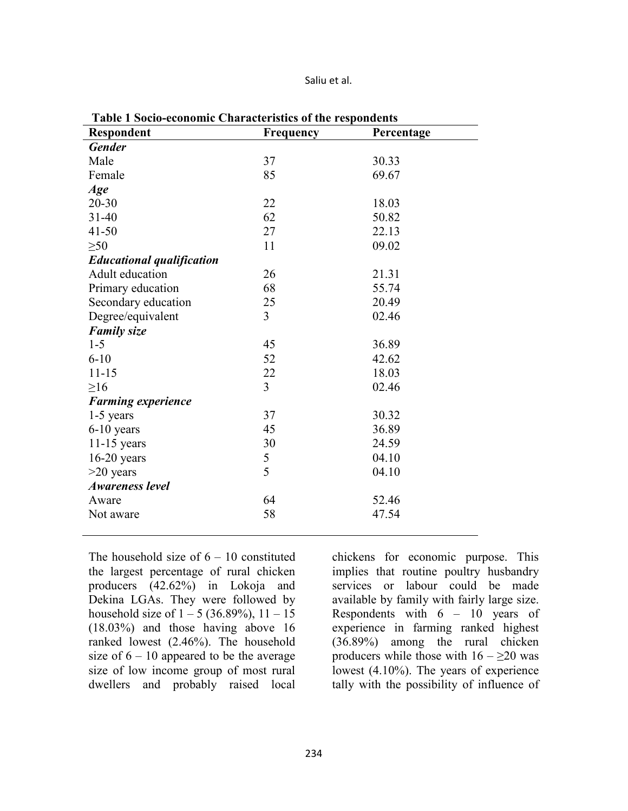Saliu et al.

| radic r socio-cconomic Characteristics or the respondents<br><b>Respondent</b> | <b>Frequency</b> | Percentage |
|--------------------------------------------------------------------------------|------------------|------------|
| <b>Gender</b>                                                                  |                  |            |
| Male                                                                           | 37               | 30.33      |
| Female                                                                         | 85               | 69.67      |
| Age                                                                            |                  |            |
| $20 - 30$                                                                      | 22               | 18.03      |
| $31 - 40$                                                                      | 62               | 50.82      |
| $41 - 50$                                                                      | 27               | 22.13      |
| $\geq 50$                                                                      | 11               | 09.02      |
| <b>Educational qualification</b>                                               |                  |            |
| Adult education                                                                | 26               | 21.31      |
| Primary education                                                              | 68               | 55.74      |
| Secondary education                                                            | 25               | 20.49      |
| Degree/equivalent                                                              | $\overline{3}$   | 02.46      |
| <b>Family size</b>                                                             |                  |            |
| $1 - 5$                                                                        | 45               | 36.89      |
| $6 - 10$                                                                       | 52               | 42.62      |
| $11 - 15$                                                                      | 22               | 18.03      |
| $\geq 16$                                                                      | $\overline{3}$   | 02.46      |
| <b>Farming experience</b>                                                      |                  |            |
| 1-5 years                                                                      | 37               | 30.32      |
| $6-10$ years                                                                   | 45               | 36.89      |
| $11-15$ years                                                                  | 30               | 24.59      |
| $16-20$ years                                                                  | 5                | 04.10      |
| $>20$ years                                                                    | 5                | 04.10      |
| <b>Awareness level</b>                                                         |                  |            |
| Aware                                                                          | 64               | 52.46      |
| Not aware                                                                      | 58               | 47.54      |
|                                                                                |                  |            |

**Table 1 Socio-economic Characteristics of the respondents** 

The household size of  $6 - 10$  constituted the largest percentage of rural chicken producers (42.62%) in Lokoja and Dekina LGAs. They were followed by household size of  $1 - 5$  (36.89%),  $11 - 15$ (18.03%) and those having above 16 ranked lowest (2.46%). The household size of  $6 - 10$  appeared to be the average size of low income group of most rural dwellers and probably raised local

chickens for economic purpose. This implies that routine poultry husbandry services or labour could be made available by family with fairly large size. Respondents with 6 – 10 years of experience in farming ranked highest (36.89%) among the rural chicken producers while those with  $16 - \ge 20$  was lowest (4.10%). The years of experience tally with the possibility of influence of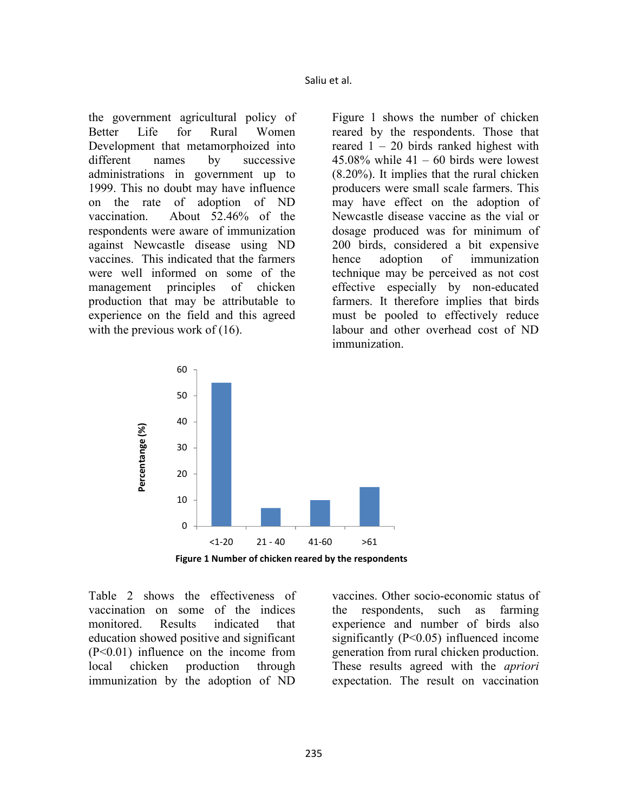the government agricultural policy of Better Life for Rural Women Development that metamorphoized into different names by successive administrations in government up to 1999. This no doubt may have influence on the rate of adoption of ND vaccination. About 52.46% of the respondents were aware of immunization against Newcastle disease using ND vaccines. This indicated that the farmers were well informed on some of the management principles of chicken production that may be attributable to experience on the field and this agreed with the previous work of (16).

Figure 1 shows the number of chicken reared by the respondents. Those that reared 1 – 20 birds ranked highest with  $45.08\%$  while  $41 - 60$  birds were lowest (8.20%). It implies that the rural chicken producers were small scale farmers. This may have effect on the adoption of Newcastle disease vaccine as the vial or dosage produced was for minimum of 200 birds, considered a bit expensive hence adoption of immunization technique may be perceived as not cost effective especially by non-educated farmers. It therefore implies that birds must be pooled to effectively reduce labour and other overhead cost of ND immunization.





Table 2 shows the effectiveness of vaccination on some of the indices monitored. Results indicated that education showed positive and significant (P<0.01) influence on the income from local chicken production through immunization by the adoption of ND

vaccines. Other socio-economic status of the respondents, such as farming experience and number of birds also significantly (P<0.05) influenced income generation from rural chicken production. These results agreed with the *apriori* expectation. The result on vaccination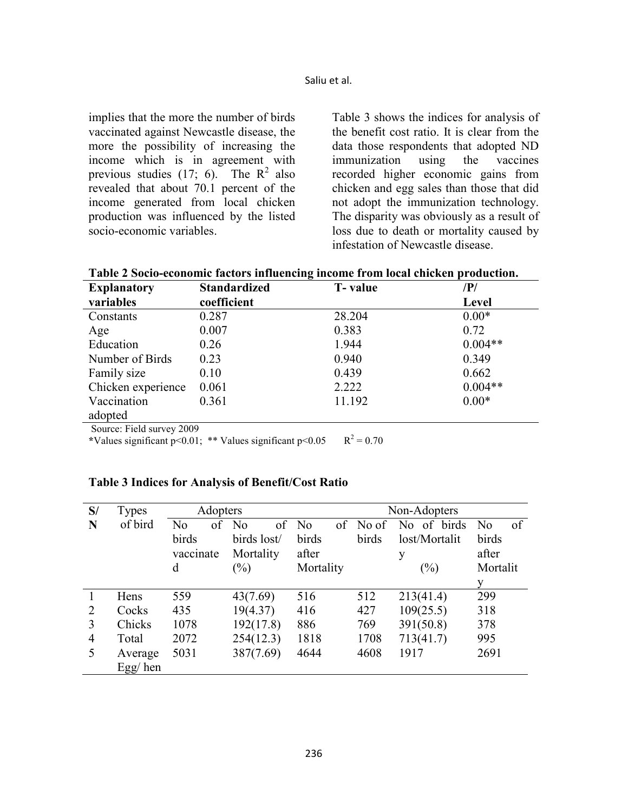implies that the more the number of birds vaccinated against Newcastle disease, the more the possibility of increasing the income which is in agreement with previous studies (17; 6). The  $R^2$  also revealed that about 70.1 percent of the income generated from local chicken production was influenced by the listed socio-economic variables.

Table 3 shows the indices for analysis of the benefit cost ratio. It is clear from the data those respondents that adopted ND immunization using the vaccines recorded higher economic gains from chicken and egg sales than those that did not adopt the immunization technology. The disparity was obviously as a result of loss due to death or mortality caused by infestation of Newcastle disease.

| Table 2 Socio-economic factors influencing income from local chicken production. |  |  |
|----------------------------------------------------------------------------------|--|--|
|----------------------------------------------------------------------------------|--|--|

| <b>Explanatory</b> | <b>Standardized</b> | <b>T</b> -value | $\mathbb{P}/\mathbb{P}$ |
|--------------------|---------------------|-----------------|-------------------------|
| variables          | coefficient         |                 | Level                   |
| Constants          | 0.287               | 28.204          | $0.00*$                 |
| Age                | 0.007               | 0.383           | 0.72                    |
| Education          | 0.26                | 1.944           | $0.004**$               |
| Number of Birds    | 0.23                | 0.940           | 0.349                   |
| Family size        | 0.10                | 0.439           | 0.662                   |
| Chicken experience | 0.061               | 2.222           | $0.004**$               |
| Vaccination        | 0.361               | 11.192          | $0.00*$                 |
| adopted            |                     |                 |                         |

Source: Field survey 2009

\*Values significant  $p < 0.01$ ; \*\* Values significant  $p < 0.05$  $R^2 = 0.70$ 

#### **Table 3 Indices for Analysis of Benefit/Cost Ratio**

| S/ | Types      | Adopters               |    |                | Non-Adopters |                |                            |       |               |       |                |    |
|----|------------|------------------------|----|----------------|--------------|----------------|----------------------------|-------|---------------|-------|----------------|----|
| N  | of bird    | N <sub>0</sub>         | of | N <sub>0</sub> | of           | N <sub>0</sub> | of                         | No of | No of birds   |       | N <sub>0</sub> | of |
|    |            | birds                  |    | birds lost/    |              | birds          |                            | birds | lost/Mortalit |       | birds          |    |
|    |            | Mortality<br>vaccinate |    |                | after        |                |                            | y     |               | after |                |    |
|    |            | $(\%)$<br>d            |    |                | Mortality    |                | $\left(\frac{0}{0}\right)$ |       | Mortalit      |       |                |    |
|    |            |                        |    |                |              |                |                            |       |               |       | y              |    |
|    | Hens       | 559                    |    | 43(7.69)       |              | 516            |                            | 512   | 213(41.4)     |       | 299            |    |
| 2  | Cocks      | 435                    |    | 19(4.37)       |              | 416            |                            | 427   | 109(25.5)     |       | 318            |    |
| 3  | Chicks     | 1078                   |    | 192(17.8)      |              | 886            |                            | 769   | 391(50.8)     |       | 378            |    |
| 4  | Total      | 2072                   |    | 254(12.3)      |              | 1818           |                            | 1708  | 713(41.7)     |       | 995            |    |
| 5  | Average    | 5031                   |    | 387(7.69)      |              | 4644           |                            | 4608  | 1917          |       | 2691           |    |
|    | $Egg/$ hen |                        |    |                |              |                |                            |       |               |       |                |    |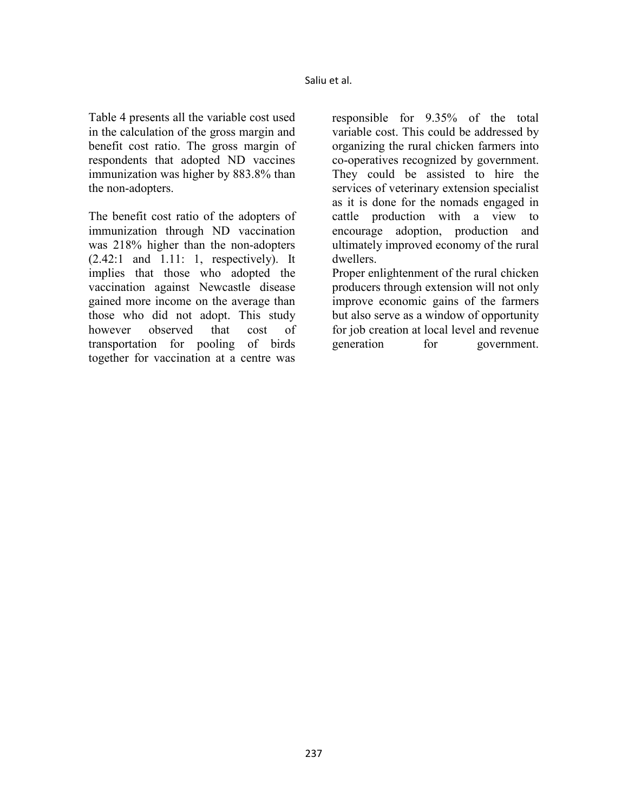Table 4 presents all the variable cost used in the calculation of the gross margin and benefit cost ratio. The gross margin of respondents that adopted ND vaccines immunization was higher by 883.8% than the non-adopters.

The benefit cost ratio of the adopters of immunization through ND vaccination was 218% higher than the non-adopters (2.42:1 and 1.11: 1, respectively). It implies that those who adopted the vaccination against Newcastle disease gained more income on the average than those who did not adopt. This study however observed that cost of transportation for pooling of birds together for vaccination at a centre was

responsible for 9.35% of the total variable cost. This could be addressed by organizing the rural chicken farmers into co-operatives recognized by government. They could be assisted to hire the services of veterinary extension specialist as it is done for the nomads engaged in cattle production with a view to encourage adoption, production and ultimately improved economy of the rural dwellers.

Proper enlightenment of the rural chicken producers through extension will not only improve economic gains of the farmers but also serve as a window of opportunity for job creation at local level and revenue generation for government.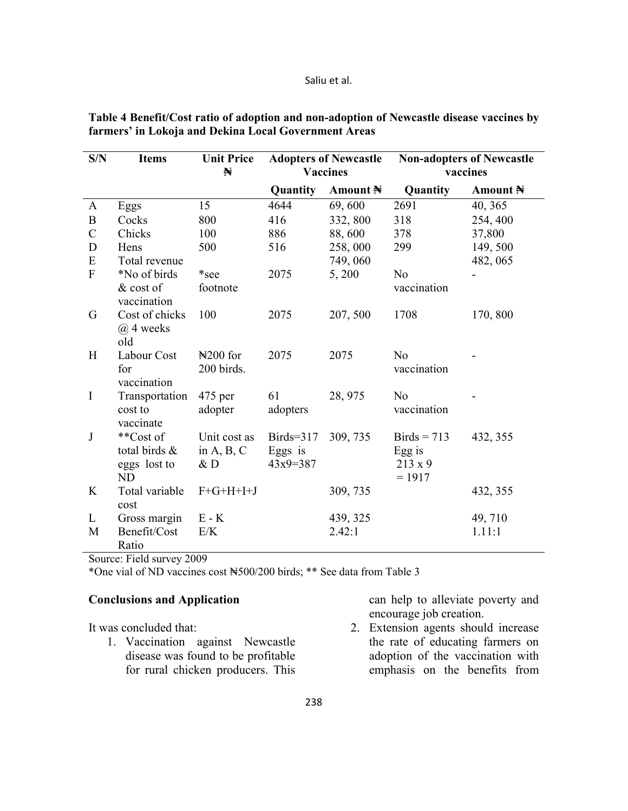#### Saliu et al.

| S/N           | <b>Items</b>             | <b>Unit Price</b> | <b>Adopters of Newcastle</b> |                     | <b>Non-adopters of Newcastle</b> |          |  |
|---------------|--------------------------|-------------------|------------------------------|---------------------|----------------------------------|----------|--|
|               |                          | N                 | <b>Vaccines</b>              |                     |                                  | vaccines |  |
|               |                          |                   | Quantity                     | Amount $\mathbb{N}$ | Quantity                         | Amount N |  |
| A             | Eggs                     | 15                | 4644                         | 69,600              | 2691                             | 40, 365  |  |
| $\, {\bf B}$  | Cocks                    | 800               | 416                          | 332, 800            | 318                              | 254, 400 |  |
| $\mathcal{C}$ | Chicks                   | 100               | 886                          | 88,600              | 378                              | 37,800   |  |
| D             | Hens                     | 500               | 516                          | 258,000             | 299                              | 149, 500 |  |
| E             | Total revenue            |                   |                              | 749,060             |                                  | 482, 065 |  |
| $\mathbf F$   | *No of birds             | *see              | 2075                         | 5,200               | N <sub>o</sub>                   |          |  |
|               | & cost of<br>vaccination | footnote          |                              |                     | vaccination                      |          |  |
| G             | Cost of chicks           | 100               | 2075                         | 207, 500            | 1708                             | 170, 800 |  |
|               | $(a)$ 4 weeks<br>old     |                   |                              |                     |                                  |          |  |
| H             | Labour Cost              | $\yen$ 200 for    | 2075                         | 2075                | N <sub>0</sub>                   |          |  |
|               | for                      | 200 birds.        |                              |                     | vaccination                      |          |  |
|               | vaccination              |                   |                              |                     |                                  |          |  |
| $\mathbf I$   | Transportation           | $475$ per         | 61                           | 28, 975             | N <sub>o</sub>                   |          |  |
|               | cost to                  | adopter           | adopters                     |                     | vaccination                      |          |  |
|               | vaccinate                |                   |                              |                     |                                  |          |  |
| $\mathbf{J}$  | **Cost of                | Unit cost as      | Birds= $317$                 | 309, 735            | $Birds = 713$                    | 432, 355 |  |
|               | total birds &            | in $A, B, C$      | Eggs is                      |                     | Egg is                           |          |  |
|               | eggs lost to             | &D                | $43x9=387$                   |                     | $213 \times 9$                   |          |  |
|               | <b>ND</b>                |                   |                              |                     | $= 1917$                         |          |  |
| K             | Total variable<br>cost   | $F+G+H+I+J$       |                              | 309, 735            |                                  | 432, 355 |  |
| L             | Gross margin             | $E - K$           |                              | 439, 325            |                                  | 49,710   |  |
| M             | Benefit/Cost             | E/K               |                              | 2.42:1              |                                  | 1.11:1   |  |
|               | Ratio                    |                   |                              |                     |                                  |          |  |

Table 4 Benefit/Cost ratio of adoption and non-adoption of Newcastle disease vaccines by **farmers' in Lokoja and Dekina Local Government Areas** 

Source: Field survey 2009

\*One vial of ND vaccines cost ₦500/200 birds; \*\* See data from Table 3

# **Conclusions and Application**

It was concluded that:

1. Vaccination against Newcastle disease was found to be profitable for rural chicken producers. This

can help to alleviate poverty and encourage job creation.

2. Extension agents should increase the rate of educating farmers on adoption of the vaccination with emphasis on the benefits from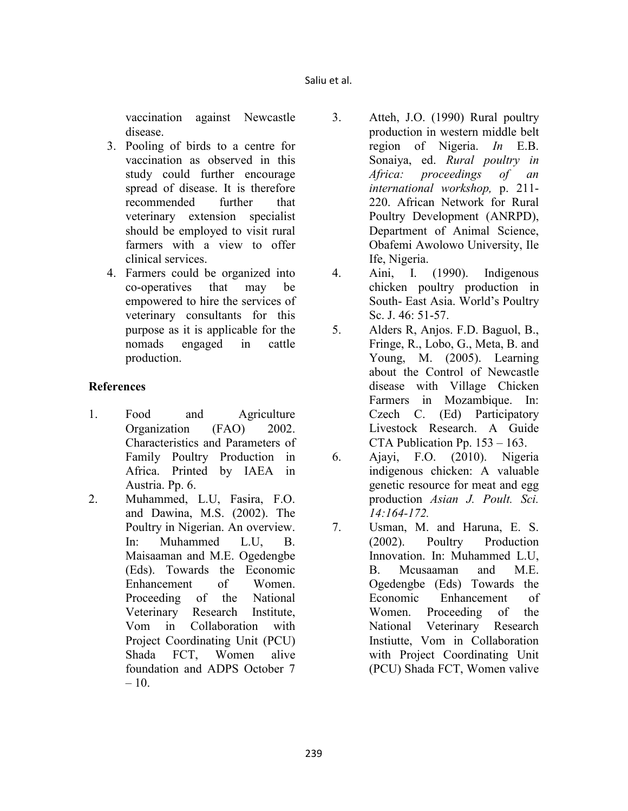vaccination against Newcastle disease.

- 3. Pooling of birds to a centre for vaccination as observed in this study could further encourage spread of disease. It is therefore recommended further that veterinary extension specialist should be employed to visit rural farmers with a view to offer clinical services.
- 4. Farmers could be organized into co-operatives that may be empowered to hire the services of veterinary consultants for this purpose as it is applicable for the nomads engaged in cattle production.

## **References**

- 1. Food and Agriculture Organization (FAO) 2002. Characteristics and Parameters of Family Poultry Production in Africa. Printed by IAEA in Austria. Pp. 6.
- 2. Muhammed, L.U, Fasira, F.O. and Dawina, M.S. (2002). The Poultry in Nigerian. An overview. In: Muhammed L.U, B. Maisaaman and M.E. Ogedengbe (Eds). Towards the Economic Enhancement of Women. Proceeding of the National Veterinary Research Institute, Vom in Collaboration with Project Coordinating Unit (PCU) Shada FCT, Women alive foundation and ADPS October 7  $-10.$
- 3. Atteh, J.O. (1990) Rural poultry production in western middle belt region of Nigeria. *In* E.B. Sonaiya, ed. *Rural poultry in Africa: proceedings of an international workshop,* p. 211- 220. African Network for Rural Poultry Development (ANRPD), Department of Animal Science, Obafemi Awolowo University, Ile Ife, Nigeria.
- 4. Aini, I. (1990). Indigenous chicken poultry production in South- East Asia. World's Poultry Sc. J. 46: 51-57.
- 5. Alders R, Anjos. F.D. Baguol, B., Fringe, R., Lobo, G., Meta, B. and Young, M. (2005). Learning about the Control of Newcastle disease with Village Chicken Farmers in Mozambique. In: Czech C. (Ed) Participatory Livestock Research. A Guide CTA Publication Pp. 153 – 163.
- 6. Ajayi, F.O. (2010). Nigeria indigenous chicken: A valuable genetic resource for meat and egg production *Asian J. Poult. Sci. 14:164-172.*
- 7. Usman, M. and Haruna, E. S. (2002). Poultry Production Innovation. In: Muhammed L.U, B. Mcusaaman and M.E. Ogedengbe (Eds) Towards the Economic Enhancement of Women. Proceeding of the National Veterinary Research Instiutte, Vom in Collaboration with Project Coordinating Unit (PCU) Shada FCT, Women valive